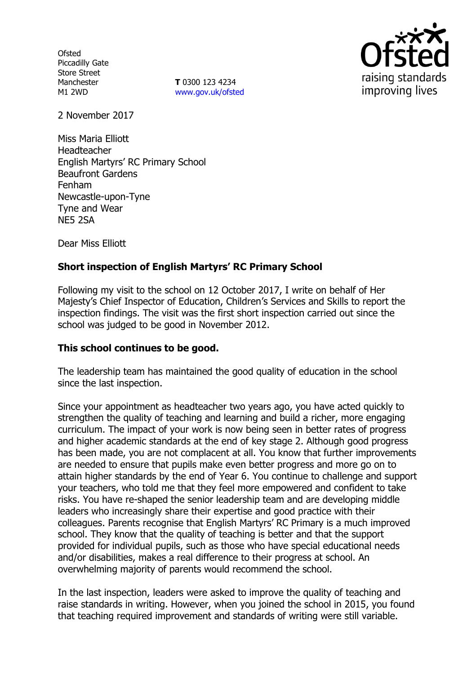**Ofsted** Piccadilly Gate Store Street Manchester M1 2WD

**T** 0300 123 4234 www.gov.uk/ofsted



2 November 2017

Miss Maria Elliott Headteacher English Martyrs' RC Primary School Beaufront Gardens Fenham Newcastle-upon-Tyne Tyne and Wear NE5 2SA

Dear Miss Elliott

# **Short inspection of English Martyrs' RC Primary School**

Following my visit to the school on 12 October 2017, I write on behalf of Her Majesty's Chief Inspector of Education, Children's Services and Skills to report the inspection findings. The visit was the first short inspection carried out since the school was judged to be good in November 2012.

#### **This school continues to be good.**

The leadership team has maintained the good quality of education in the school since the last inspection.

Since your appointment as headteacher two years ago, you have acted quickly to strengthen the quality of teaching and learning and build a richer, more engaging curriculum. The impact of your work is now being seen in better rates of progress and higher academic standards at the end of key stage 2. Although good progress has been made, you are not complacent at all. You know that further improvements are needed to ensure that pupils make even better progress and more go on to attain higher standards by the end of Year 6. You continue to challenge and support your teachers, who told me that they feel more empowered and confident to take risks. You have re-shaped the senior leadership team and are developing middle leaders who increasingly share their expertise and good practice with their colleagues. Parents recognise that English Martyrs' RC Primary is a much improved school. They know that the quality of teaching is better and that the support provided for individual pupils, such as those who have special educational needs and/or disabilities, makes a real difference to their progress at school. An overwhelming majority of parents would recommend the school.

In the last inspection, leaders were asked to improve the quality of teaching and raise standards in writing. However, when you joined the school in 2015, you found that teaching required improvement and standards of writing were still variable.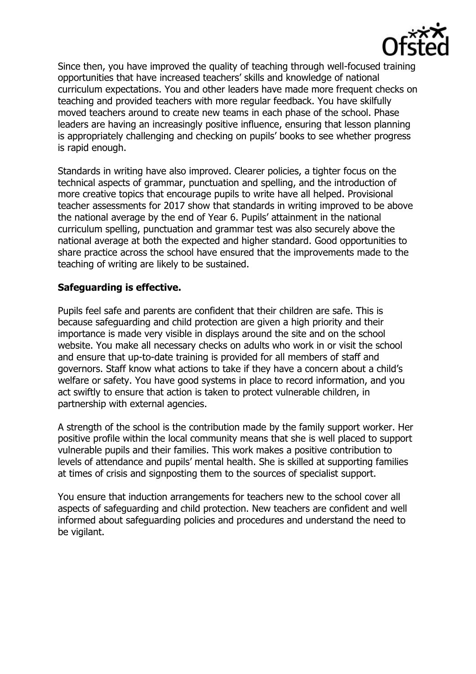

Since then, you have improved the quality of teaching through well-focused training opportunities that have increased teachers' skills and knowledge of national curriculum expectations. You and other leaders have made more frequent checks on teaching and provided teachers with more regular feedback. You have skilfully moved teachers around to create new teams in each phase of the school. Phase leaders are having an increasingly positive influence, ensuring that lesson planning is appropriately challenging and checking on pupils' books to see whether progress is rapid enough.

Standards in writing have also improved. Clearer policies, a tighter focus on the technical aspects of grammar, punctuation and spelling, and the introduction of more creative topics that encourage pupils to write have all helped. Provisional teacher assessments for 2017 show that standards in writing improved to be above the national average by the end of Year 6. Pupils' attainment in the national curriculum spelling, punctuation and grammar test was also securely above the national average at both the expected and higher standard. Good opportunities to share practice across the school have ensured that the improvements made to the teaching of writing are likely to be sustained.

## **Safeguarding is effective.**

Pupils feel safe and parents are confident that their children are safe. This is because safeguarding and child protection are given a high priority and their importance is made very visible in displays around the site and on the school website. You make all necessary checks on adults who work in or visit the school and ensure that up-to-date training is provided for all members of staff and governors. Staff know what actions to take if they have a concern about a child's welfare or safety. You have good systems in place to record information, and you act swiftly to ensure that action is taken to protect vulnerable children, in partnership with external agencies.

A strength of the school is the contribution made by the family support worker. Her positive profile within the local community means that she is well placed to support vulnerable pupils and their families. This work makes a positive contribution to levels of attendance and pupils' mental health. She is skilled at supporting families at times of crisis and signposting them to the sources of specialist support.

You ensure that induction arrangements for teachers new to the school cover all aspects of safeguarding and child protection. New teachers are confident and well informed about safeguarding policies and procedures and understand the need to be vigilant.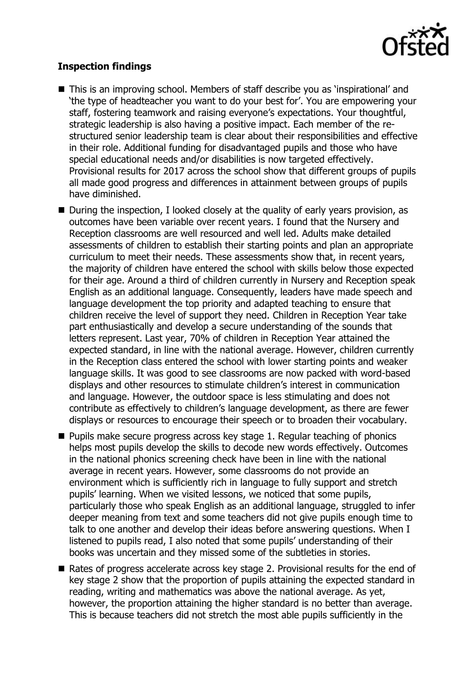

## **Inspection findings**

- This is an improving school. Members of staff describe you as 'inspirational' and 'the type of headteacher you want to do your best for'. You are empowering your staff, fostering teamwork and raising everyone's expectations. Your thoughtful, strategic leadership is also having a positive impact. Each member of the restructured senior leadership team is clear about their responsibilities and effective in their role. Additional funding for disadvantaged pupils and those who have special educational needs and/or disabilities is now targeted effectively. Provisional results for 2017 across the school show that different groups of pupils all made good progress and differences in attainment between groups of pupils have diminished.
- During the inspection, I looked closely at the quality of early years provision, as outcomes have been variable over recent years. I found that the Nursery and Reception classrooms are well resourced and well led. Adults make detailed assessments of children to establish their starting points and plan an appropriate curriculum to meet their needs. These assessments show that, in recent years, the majority of children have entered the school with skills below those expected for their age. Around a third of children currently in Nursery and Reception speak English as an additional language. Consequently, leaders have made speech and language development the top priority and adapted teaching to ensure that children receive the level of support they need. Children in Reception Year take part enthusiastically and develop a secure understanding of the sounds that letters represent. Last year, 70% of children in Reception Year attained the expected standard, in line with the national average. However, children currently in the Reception class entered the school with lower starting points and weaker language skills. It was good to see classrooms are now packed with word-based displays and other resources to stimulate children's interest in communication and language. However, the outdoor space is less stimulating and does not contribute as effectively to children's language development, as there are fewer displays or resources to encourage their speech or to broaden their vocabulary.
- **Pupils make secure progress across key stage 1. Regular teaching of phonics** helps most pupils develop the skills to decode new words effectively. Outcomes in the national phonics screening check have been in line with the national average in recent years. However, some classrooms do not provide an environment which is sufficiently rich in language to fully support and stretch pupils' learning. When we visited lessons, we noticed that some pupils, particularly those who speak English as an additional language, struggled to infer deeper meaning from text and some teachers did not give pupils enough time to talk to one another and develop their ideas before answering questions. When I listened to pupils read, I also noted that some pupils' understanding of their books was uncertain and they missed some of the subtleties in stories.
- Rates of progress accelerate across key stage 2. Provisional results for the end of key stage 2 show that the proportion of pupils attaining the expected standard in reading, writing and mathematics was above the national average. As yet, however, the proportion attaining the higher standard is no better than average. This is because teachers did not stretch the most able pupils sufficiently in the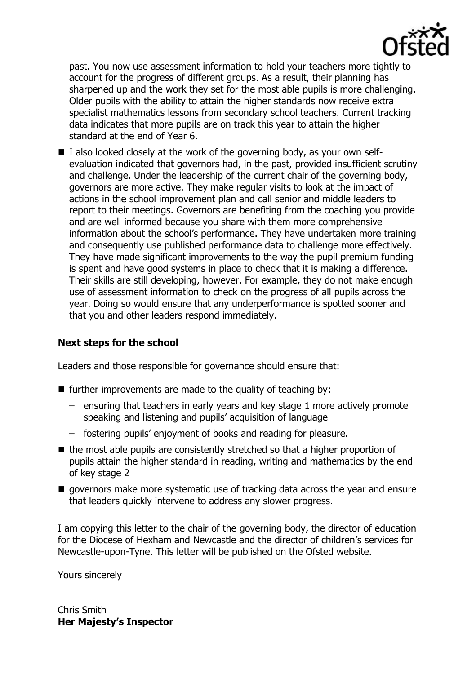

past. You now use assessment information to hold your teachers more tightly to account for the progress of different groups. As a result, their planning has sharpened up and the work they set for the most able pupils is more challenging. Older pupils with the ability to attain the higher standards now receive extra specialist mathematics lessons from secondary school teachers. Current tracking data indicates that more pupils are on track this year to attain the higher standard at the end of Year 6.

 $\blacksquare$  I also looked closely at the work of the governing body, as your own selfevaluation indicated that governors had, in the past, provided insufficient scrutiny and challenge. Under the leadership of the current chair of the governing body, governors are more active. They make regular visits to look at the impact of actions in the school improvement plan and call senior and middle leaders to report to their meetings. Governors are benefiting from the coaching you provide and are well informed because you share with them more comprehensive information about the school's performance. They have undertaken more training and consequently use published performance data to challenge more effectively. They have made significant improvements to the way the pupil premium funding is spent and have good systems in place to check that it is making a difference. Their skills are still developing, however. For example, they do not make enough use of assessment information to check on the progress of all pupils across the year. Doing so would ensure that any underperformance is spotted sooner and that you and other leaders respond immediately.

# **Next steps for the school**

Leaders and those responsible for governance should ensure that:

- $\blacksquare$  further improvements are made to the quality of teaching by:
	- ensuring that teachers in early years and key stage 1 more actively promote speaking and listening and pupils' acquisition of language
	- fostering pupils' enjoyment of books and reading for pleasure.
- $\blacksquare$  the most able pupils are consistently stretched so that a higher proportion of pupils attain the higher standard in reading, writing and mathematics by the end of key stage 2
- $\blacksquare$  governors make more systematic use of tracking data across the year and ensure that leaders quickly intervene to address any slower progress.

I am copying this letter to the chair of the governing body, the director of education for the Diocese of Hexham and Newcastle and the director of children's services for Newcastle-upon-Tyne. This letter will be published on the Ofsted website.

Yours sincerely

Chris Smith **Her Majesty's Inspector**